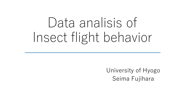# Data analisis of Insect flight behavior

University of Hyogo Seima Fujihara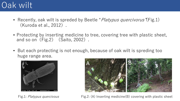## Oak wilt

- Recently, oak wilt is spreded by Beetle "*Platypus quercivorus*"(Fig.1) (Kuroda et al., 2012).
- Protecting by inserting medicine to tree, covering tree with plastic sheet, and so on  $(Fig.2)$   $(Saito, 2002)$ .
- But each protecting is not enough, because of oak wilt is spreding too huge range area.



Fig.1: Platypus quercivous



Fig.2: (A) Inserting medicine(B) covering with plastic sheet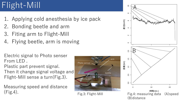## Flight-Mill

- 1. Applying cold anesthesia by ice pack
- 2. Bonding beetle and arm
- 3. Fiting arm to Flight-Mill
- 4. Flying beetle, arm is moving

Electric signal to Photo senser From LED .

Plastic part prevent signal. Then it change signal voltage and Flight-Mill sense a turn(Fig.3).

Measuring speed and distance (Fig.4).



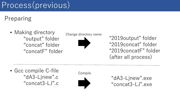## Process(previous)

Preparing

• Making directory "output" folder "concat" folder "concatF" folder



"2019output" folder "2019concat" folder "2019concatF" folder (after all process)

• Gcc compile C-file "dA3-Ljnew".c "concat3-LJ".c





"dA3-Ljnew".exe "concat3-LJ".exe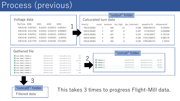### Process (previous)

|                                                     |                      |               |                   | "output" folder |               |               |             |  |
|-----------------------------------------------------|----------------------|---------------|-------------------|-----------------|---------------|---------------|-------------|--|
|                                                     |                      |               |                   |                 |               |               |             |  |
| Voltage data                                        | Calcurated turn data |               |                   |                 |               |               |             |  |
| AIN <sub>2</sub><br>AIN3<br>TheTime AINO<br>AIN1    | time(s)              | count         | duration dur high |                 | dur time(sec) | speed $(m/h)$ | distance(m) |  |
| 0.03424 0.039215 0.005914<br>43619.48 0.007621      | 43619.48382          |               | 189               | 10              | 0.189         | 4668.990723   | 0.245044    |  |
| 0.03424 0.039215 0.000826<br>43619.48 0.012708      | 43619.48382          | $\mathcal{P}$ | 187               | 8               | 0.187         | 4718.92627    | 0.490088    |  |
| 0.03933 0.039215 0.005914<br>43619.48 0.007621      | 43619.48383          | 3             | 187               | 9               | 0.187         | 4718.92627    | 0.735132    |  |
| 0.03424 0.044301<br>43619.48 0.007621<br>$-0.00426$ | 43619.48383          | 4             | 186               | 9               | 0.186         | 4744.296875   | 0.980176    |  |
| 0.03424 0.044301 0.011001<br>43619.48 0.017794      | 43619.48383          | C.            | 184               | 8               | 0.184         | 4795.865723   | 1.22522     |  |
|                                                     |                      |               |                   |                 |               |               |             |  |

| Gathered file                         |                 |                    |          |                       | "concat" folder |                    |          |
|---------------------------------------|-----------------|--------------------|----------|-----------------------|-----------------|--------------------|----------|
| 图 kash_190603_113643A.csv             | 2020/02/22 9:19 | Microsoft Excel CS | 1 KB     |                       |                 |                    |          |
| <sup>28</sup> kash_190603_113643B.csv | 2020/02/22 9:19 | Microsoft Excel CS | 1 KB     |                       |                 |                    |          |
| 图 kash_190603_113643C.csv             | 2020/02/22 9:19 | Microsoft Excel CS | 1,027 KB | <b>Ba</b> 190603A.csv | 2020/02/22 9:22 | Microsoft Excel CS | 2,891 KB |
| <b>a</b> kash_190603_113643D.csv      | 2020/02/22 9:20 | Microsoft Excel CS | 1 KB     | <b>Da</b> 190603B.csv | 2020/02/22 9:22 | Microsoft Excel CS | 631 KB   |
| 图 kash_190603_123644A.csv             | 2020/02/22 9:20 | Microsoft Excel CS | 1 KB     | <b>B</b> 190603C.csv  | 2020/02/22 9:22 | Microsoft Excel CS | 4,806 KB |
| 图 kash_190603_123644B.csv             | 2020/02/22 9:20 | Microsoft Excel CS | 1 KB     | <b>图 190603D.csv</b>  | 2020/02/22 9:22 | Microsoft Excel CS | 934 KB   |
| <b>a</b> kash_190603_123644C.csv      | 2020/02/22 9:20 | Microsoft Excel CS | 1,011 KB |                       |                 |                    |          |
| 图 kash_190603_123644D.csv             | 2020/02/22 9:20 | Microsoft Excel CS | 1 KB     |                       |                 |                    |          |



This takes 3 times to progress Flight-Mill data.